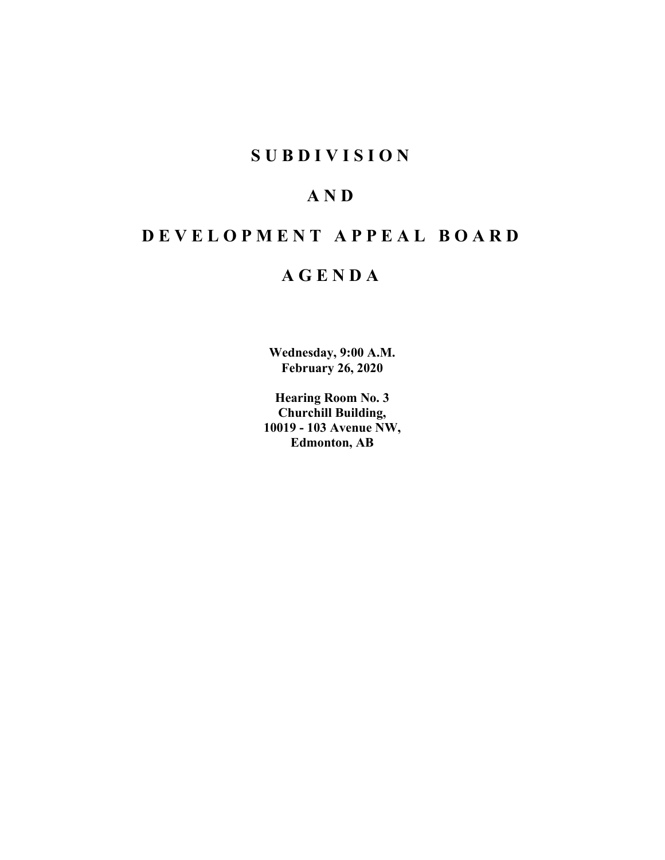# **SUBDIVISION**

# **AND**

# **DEVELOPMENT APPEAL BOARD**

# **AGENDA**

**Wednesday, 9:00 A.M. February 26, 2020**

**Hearing Room No. 3 Churchill Building, 10019 - 103 Avenue NW, Edmonton, AB**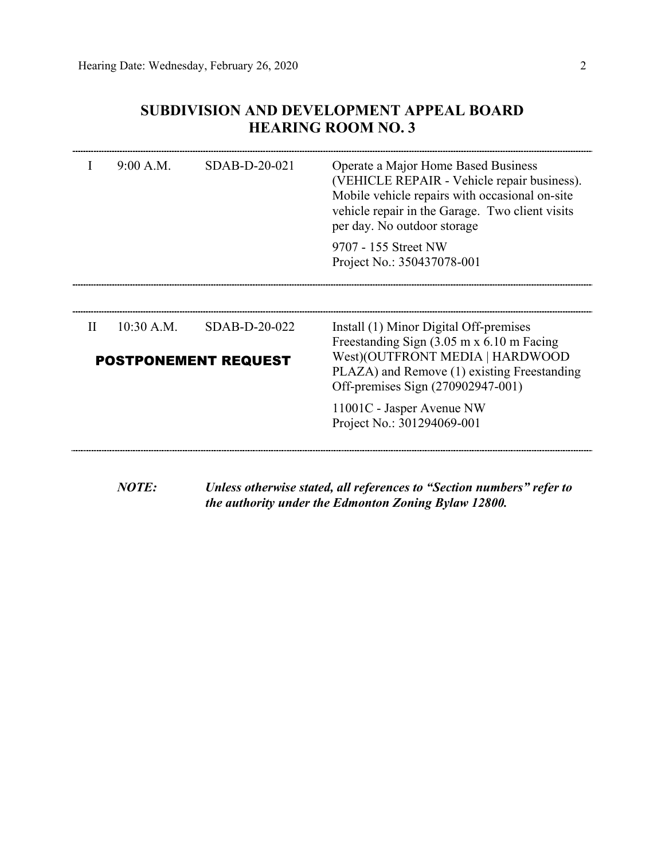## **SUBDIVISION AND DEVELOPMENT APPEAL BOARD HEARING ROOM NO. 3**

|              | 9:00 A.M.    | SDAB-D-20-021                                | Operate a Major Home Based Business<br>(VEHICLE REPAIR - Vehicle repair business).<br>Mobile vehicle repairs with occasional on-site<br>vehicle repair in the Garage. Two client visits<br>per day. No outdoor storage<br>9707 - 155 Street NW<br>Project No.: 350437078-001 |
|--------------|--------------|----------------------------------------------|------------------------------------------------------------------------------------------------------------------------------------------------------------------------------------------------------------------------------------------------------------------------------|
|              |              |                                              |                                                                                                                                                                                                                                                                              |
| $\mathbf{H}$ | $10:30$ A.M. | SDAB-D-20-022<br><b>POSTPONEMENT REQUEST</b> | Install (1) Minor Digital Off-premises<br>Freestanding Sign $(3.05 \text{ m x } 6.10 \text{ m}$ Facing<br>West)(OUTFRONT MEDIA   HARDWOOD<br>PLAZA) and Remove (1) existing Freestanding<br>Off-premises Sign (270902947-001)                                                |
|              |              |                                              | 11001C - Jasper Avenue NW<br>Project No.: 301294069-001                                                                                                                                                                                                                      |
|              |              |                                              |                                                                                                                                                                                                                                                                              |

*NOTE: Unless otherwise stated, all references to "Section numbers" refer to the authority under the Edmonton Zoning Bylaw 12800.*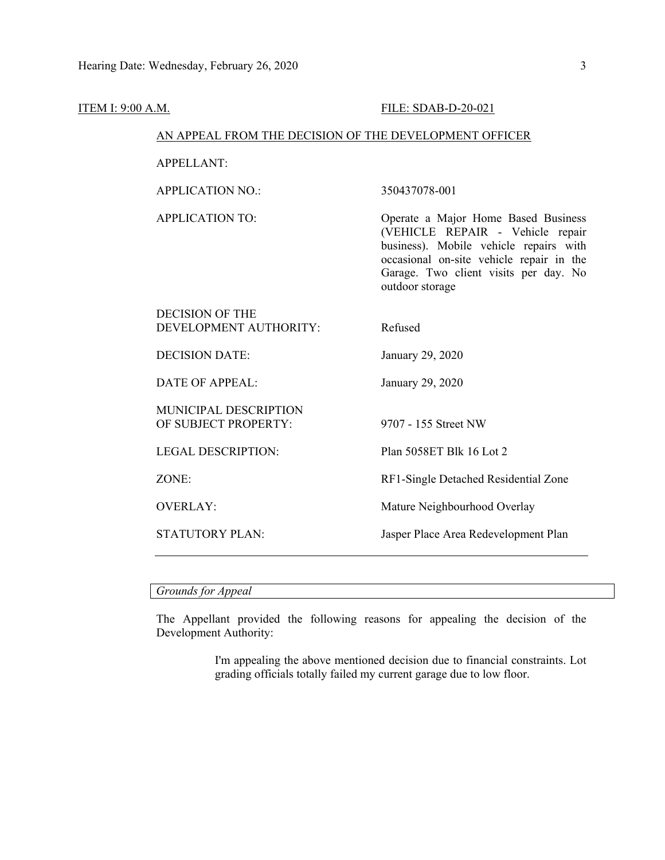### ITEM I: 9:00 A.M. **FILE: SDAB-D-20-021**

### AN APPEAL FROM THE DECISION OF THE DEVELOPMENT OFFICER

APPELLANT:

APPLICATION NO.: 350437078-001

APPLICATION TO: Operate a Major Home Based Business (VEHICLE REPAIR - Vehicle repair business). Mobile vehicle repairs with occasional on-site vehicle repair in the Garage. Two client visits per day. No outdoor storage

| <b>DECISION OF THE</b>                               |                                      |
|------------------------------------------------------|--------------------------------------|
| DEVELOPMENT AUTHORITY:                               | Refused                              |
| <b>DECISION DATE:</b>                                | January 29, 2020                     |
| DATE OF APPEAL:                                      | January 29, 2020                     |
| <b>MUNICIPAL DESCRIPTION</b><br>OF SUBJECT PROPERTY: | 9707 - 155 Street NW                 |
| <b>LEGAL DESCRIPTION:</b>                            | Plan 5058ET Blk 16 Lot 2             |
| ZONE:                                                | RF1-Single Detached Residential Zone |
| <b>OVERLAY:</b>                                      | Mature Neighbourhood Overlay         |
| <b>STATUTORY PLAN:</b>                               | Jasper Place Area Redevelopment Plan |

*Grounds for Appeal*

The Appellant provided the following reasons for appealing the decision of the Development Authority:

> I'm appealing the above mentioned decision due to financial constraints. Lot grading officials totally failed my current garage due to low floor.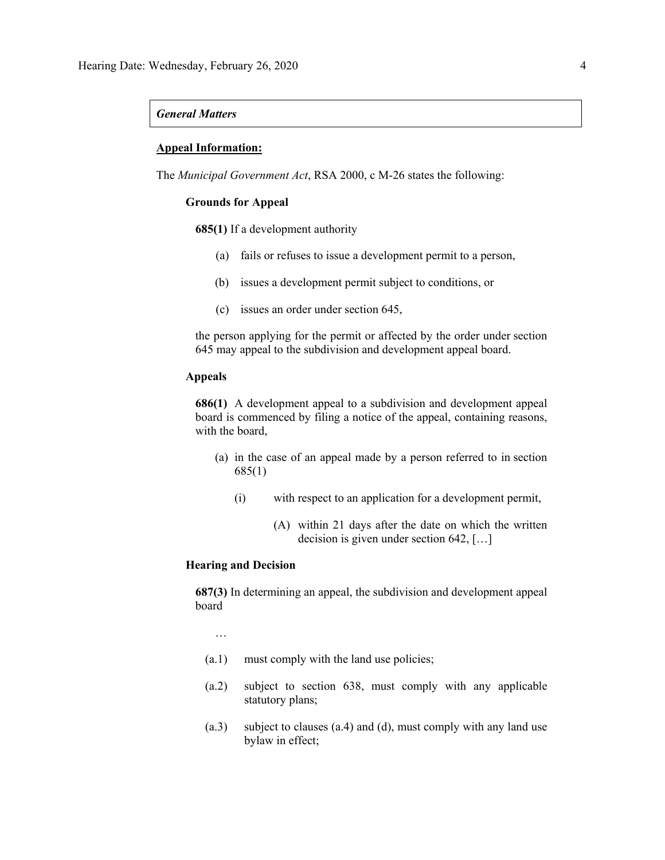### *General Matters*

### **Appeal Information:**

The *Municipal Government Act*, RSA 2000, c M-26 states the following:

### **Grounds for Appeal**

**685(1)** If a development authority

- (a) fails or refuses to issue a development permit to a person,
- (b) issues a development permit subject to conditions, or
- (c) issues an order under section 645,

the person applying for the permit or affected by the order under section 645 may appeal to the subdivision and development appeal board.

### **Appeals**

**686(1)** A development appeal to a subdivision and development appeal board is commenced by filing a notice of the appeal, containing reasons, with the board,

- (a) in the case of an appeal made by a person referred to in section 685(1)
	- (i) with respect to an application for a development permit,
		- (A) within 21 days after the date on which the written decision is given under section 642, […]

### **Hearing and Decision**

**687(3)** In determining an appeal, the subdivision and development appeal board

…

- (a.1) must comply with the land use policies;
- (a.2) subject to section 638, must comply with any applicable statutory plans;
- (a.3) subject to clauses (a.4) and (d), must comply with any land use bylaw in effect;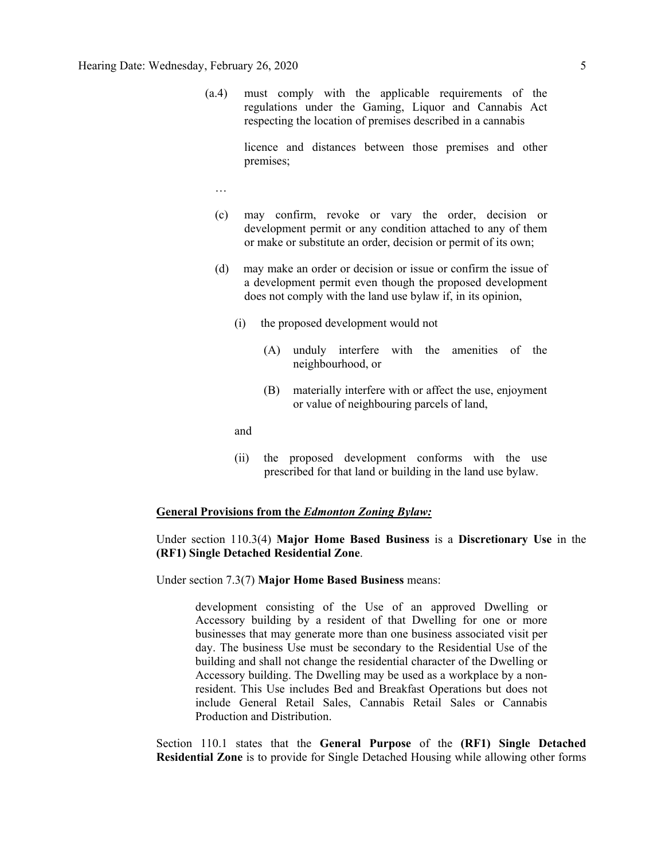(a.4) must comply with the applicable requirements of the regulations under the Gaming, Liquor and Cannabis Act respecting the location of premises described in a cannabis

> licence and distances between those premises and other premises;

- …
- (c) may confirm, revoke or vary the order, decision or development permit or any condition attached to any of them or make or substitute an order, decision or permit of its own;
- (d) may make an order or decision or issue or confirm the issue of a development permit even though the proposed development does not comply with the land use bylaw if, in its opinion,
	- (i) the proposed development would not
		- (A) unduly interfere with the amenities of the neighbourhood, or
		- (B) materially interfere with or affect the use, enjoyment or value of neighbouring parcels of land,
	- and
	- (ii) the proposed development conforms with the use prescribed for that land or building in the land use bylaw.

### **General Provisions from the** *Edmonton Zoning Bylaw:*

Under section 110.3(4) **Major Home Based Business** is a **Discretionary Use** in the **(RF1) Single Detached Residential Zone**.

Under section 7.3(7) **Major Home Based Business** means:

development consisting of the Use of an approved Dwelling or Accessory building by a resident of that Dwelling for one or more businesses that may generate more than one business associated visit per day. The business Use must be secondary to the Residential Use of the building and shall not change the residential character of the Dwelling or Accessory building. The Dwelling may be used as a workplace by a nonresident. This Use includes Bed and Breakfast Operations but does not include General Retail Sales, Cannabis Retail Sales or Cannabis Production and Distribution.

Section 110.1 states that the **General Purpose** of the **(RF1) Single Detached Residential Zone** is to provide for Single Detached Housing while allowing other forms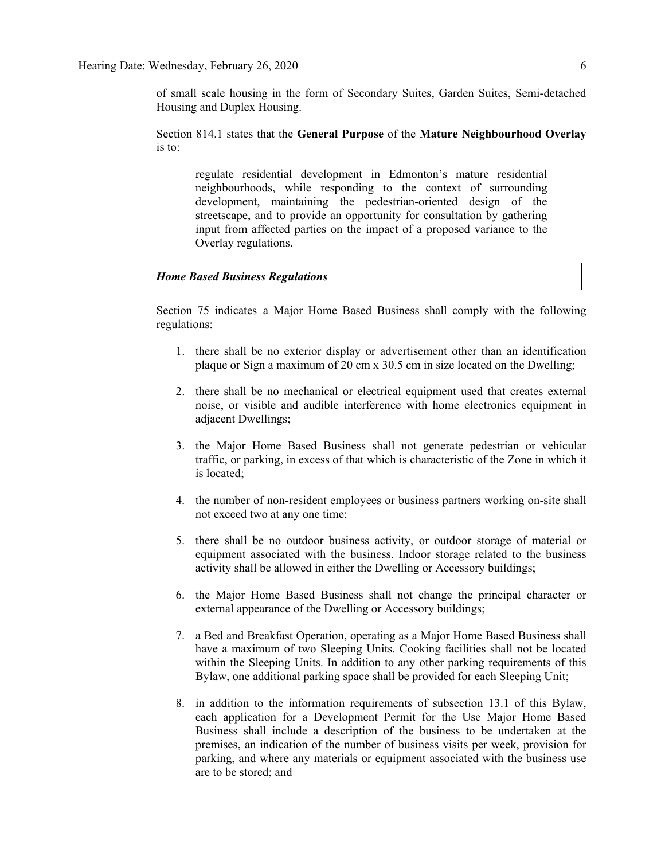of small scale housing in the form of Secondary Suites, Garden Suites, Semi-detached Housing and Duplex Housing.

Section 814.1 states that the **General Purpose** of the **Mature Neighbourhood Overlay** is to:

regulate residential development in Edmonton's mature residential neighbourhoods, while responding to the context of surrounding development, maintaining the pedestrian-oriented design of the streetscape, and to provide an opportunity for consultation by gathering input from affected parties on the impact of a proposed variance to the Overlay regulations.

### *Home Based Business Regulations*

Section 75 indicates a Major Home Based Business shall comply with the following regulations:

- 1. there shall be no exterior display or advertisement other than an identification plaque or Sign a maximum of 20 cm x 30.5 cm in size located on the Dwelling;
- 2. there shall be no mechanical or electrical equipment used that creates external noise, or visible and audible interference with home electronics equipment in adjacent Dwellings;
- 3. the Major Home Based Business shall not generate pedestrian or vehicular traffic, or parking, in excess of that which is characteristic of the Zone in which it is located;
- 4. the number of non-resident employees or business partners working on-site shall not exceed two at any one time;
- 5. there shall be no outdoor business activity, or outdoor storage of material or equipment associated with the business. Indoor storage related to the business activity shall be allowed in either the Dwelling or Accessory buildings;
- 6. the Major Home Based Business shall not change the principal character or external appearance of the Dwelling or Accessory buildings;
- 7. a Bed and Breakfast Operation, operating as a Major Home Based Business shall have a maximum of two Sleeping Units. Cooking facilities shall not be located within the Sleeping Units. In addition to any other parking requirements of this Bylaw, one additional parking space shall be provided for each Sleeping Unit;
- 8. in addition to the information requirements of subsection 13.1 of this Bylaw, each application for a Development Permit for the Use Major Home Based Business shall include a description of the business to be undertaken at the premises, an indication of the number of business visits per week, provision for parking, and where any materials or equipment associated with the business use are to be stored; and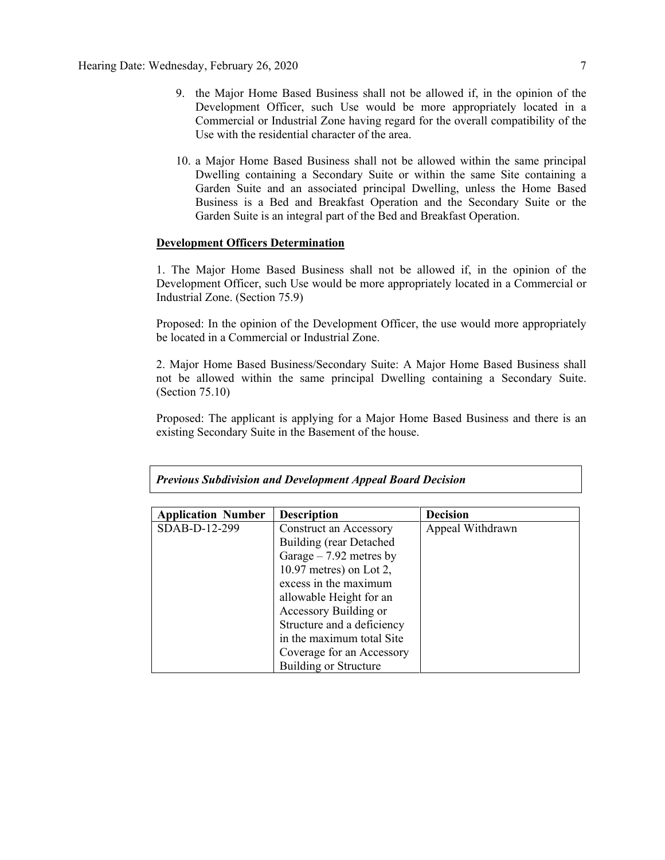- 9. the Major Home Based Business shall not be allowed if, in the opinion of the Development Officer, such Use would be more appropriately located in a Commercial or Industrial Zone having regard for the overall compatibility of the Use with the residential character of the area.
- 10. a Major Home Based Business shall not be allowed within the same principal Dwelling containing a Secondary Suite or within the same Site containing a Garden Suite and an associated principal Dwelling, unless the Home Based Business is a Bed and Breakfast Operation and the Secondary Suite or the Garden Suite is an integral part of the Bed and Breakfast Operation.

### **Development Officers Determination**

1. The Major Home Based Business shall not be allowed if, in the opinion of the Development Officer, such Use would be more appropriately located in a Commercial or Industrial Zone. (Section 75.9)

Proposed: In the opinion of the Development Officer, the use would more appropriately be located in a Commercial or Industrial Zone.

2. Major Home Based Business/Secondary Suite: A Major Home Based Business shall not be allowed within the same principal Dwelling containing a Secondary Suite. (Section 75.10)

Proposed: The applicant is applying for a Major Home Based Business and there is an existing Secondary Suite in the Basement of the house.

| <b>Application Number</b> | <b>Description</b>           | <b>Decision</b>  |
|---------------------------|------------------------------|------------------|
| SDAB-D-12-299             | Construct an Accessory       | Appeal Withdrawn |
|                           | Building (rear Detached      |                  |
|                           | Garage $-7.92$ metres by     |                  |
|                           | 10.97 metres) on Lot 2,      |                  |
|                           | excess in the maximum        |                  |
|                           | allowable Height for an      |                  |
|                           | Accessory Building or        |                  |
|                           | Structure and a deficiency   |                  |
|                           | in the maximum total Site    |                  |
|                           | Coverage for an Accessory    |                  |
|                           | <b>Building or Structure</b> |                  |

### *Previous Subdivision and Development Appeal Board Decision*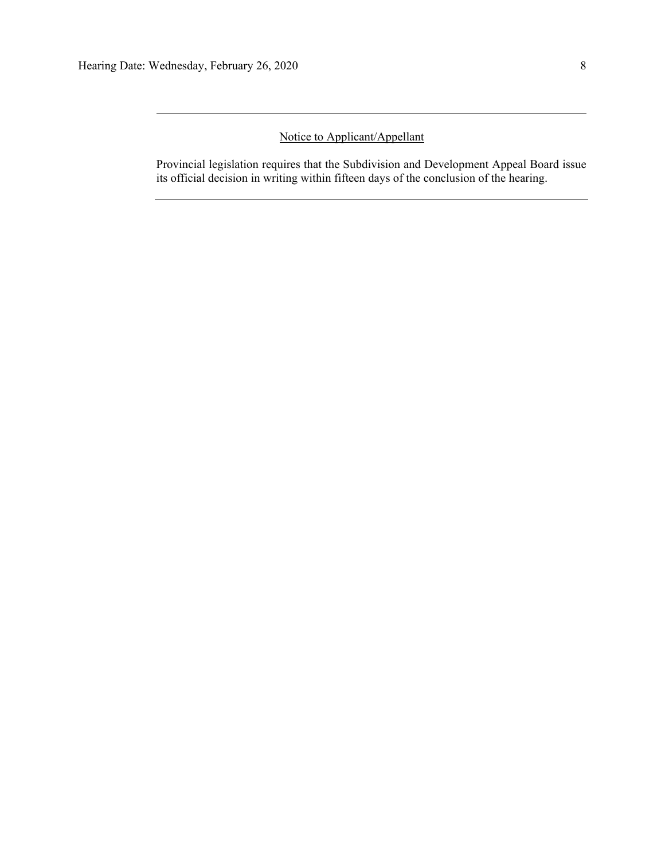### Notice to Applicant/Appellant

Provincial legislation requires that the Subdivision and Development Appeal Board issue its official decision in writing within fifteen days of the conclusion of the hearing.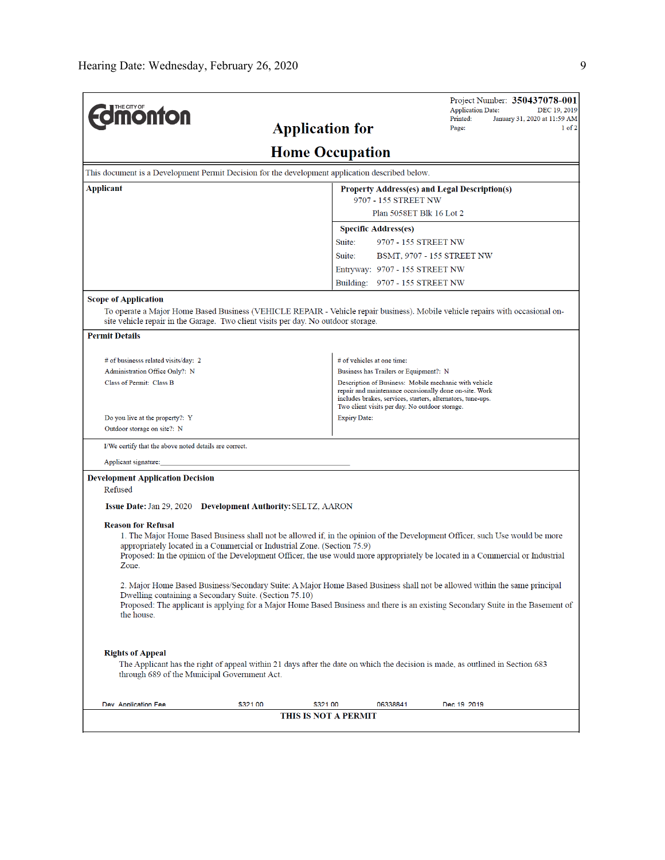|                                                                                                                                                                               |                                                                                                                                                                                    | Project Number: 350437078-001<br><b>Application Date:</b><br>DEC 19, 2019                                                     |  |  |  |  |
|-------------------------------------------------------------------------------------------------------------------------------------------------------------------------------|------------------------------------------------------------------------------------------------------------------------------------------------------------------------------------|-------------------------------------------------------------------------------------------------------------------------------|--|--|--|--|
| <b>dimonton</b>                                                                                                                                                               | <b>Application for</b>                                                                                                                                                             | Printed:<br>January 31, 2020 at 11:59 AM<br>1 of 2<br>Page:                                                                   |  |  |  |  |
|                                                                                                                                                                               |                                                                                                                                                                                    |                                                                                                                               |  |  |  |  |
| <b>Home Occupation</b>                                                                                                                                                        |                                                                                                                                                                                    |                                                                                                                               |  |  |  |  |
| This document is a Development Permit Decision for the development application described below.                                                                               |                                                                                                                                                                                    |                                                                                                                               |  |  |  |  |
| Applicant<br><b>Property Address(es) and Legal Description(s)</b><br>9707 - 155 STREET NW                                                                                     |                                                                                                                                                                                    |                                                                                                                               |  |  |  |  |
| Plan 5058ET Blk 16 Lot 2                                                                                                                                                      |                                                                                                                                                                                    |                                                                                                                               |  |  |  |  |
| <b>Specific Address(es)</b>                                                                                                                                                   |                                                                                                                                                                                    |                                                                                                                               |  |  |  |  |
|                                                                                                                                                                               | Suite:                                                                                                                                                                             | 9707 - 155 STREET NW                                                                                                          |  |  |  |  |
|                                                                                                                                                                               | Suite:                                                                                                                                                                             | <b>BSMT, 9707 - 155 STREET NW</b>                                                                                             |  |  |  |  |
|                                                                                                                                                                               |                                                                                                                                                                                    | Entryway: 9707 - 155 STREET NW                                                                                                |  |  |  |  |
|                                                                                                                                                                               |                                                                                                                                                                                    | Building: 9707 - 155 STREET NW                                                                                                |  |  |  |  |
| <b>Scope of Application</b>                                                                                                                                                   |                                                                                                                                                                                    |                                                                                                                               |  |  |  |  |
| site vehicle repair in the Garage. Two client visits per day. No outdoor storage.                                                                                             |                                                                                                                                                                                    | To operate a Major Home Based Business (VEHICLE REPAIR - Vehicle repair business). Mobile vehicle repairs with occasional on- |  |  |  |  |
| <b>Permit Details</b>                                                                                                                                                         |                                                                                                                                                                                    |                                                                                                                               |  |  |  |  |
| # of businesss related visits/day: 2                                                                                                                                          | # of vehicles at one time:                                                                                                                                                         |                                                                                                                               |  |  |  |  |
| Administration Office Only?: N                                                                                                                                                |                                                                                                                                                                                    | Business has Trailers or Equipment?: N                                                                                        |  |  |  |  |
| Class of Permit: Class B                                                                                                                                                      |                                                                                                                                                                                    | Description of Business: Mobile mechanic with vehicle                                                                         |  |  |  |  |
|                                                                                                                                                                               |                                                                                                                                                                                    | repair and maintenance occasionally done on-site. Work<br>includes brakes, services, starters, alternators, tune-ups.         |  |  |  |  |
|                                                                                                                                                                               | Two client visits per day. No outdoor storage.                                                                                                                                     |                                                                                                                               |  |  |  |  |
| <b>Expiry Date:</b><br>Do you live at the property?: Y<br>Outdoor storage on site?: N                                                                                         |                                                                                                                                                                                    |                                                                                                                               |  |  |  |  |
| I/We certify that the above noted details are correct.                                                                                                                        |                                                                                                                                                                                    |                                                                                                                               |  |  |  |  |
| Applicant signature:                                                                                                                                                          |                                                                                                                                                                                    |                                                                                                                               |  |  |  |  |
| <b>Development Application Decision</b>                                                                                                                                       |                                                                                                                                                                                    |                                                                                                                               |  |  |  |  |
| Refused                                                                                                                                                                       |                                                                                                                                                                                    |                                                                                                                               |  |  |  |  |
| <b>Issue Date: Jan 29, 2020 Development Authority: SELTZ, AARON</b>                                                                                                           |                                                                                                                                                                                    |                                                                                                                               |  |  |  |  |
| <b>Reason for Refusal</b>                                                                                                                                                     |                                                                                                                                                                                    |                                                                                                                               |  |  |  |  |
|                                                                                                                                                                               |                                                                                                                                                                                    | 1. The Major Home Based Business shall not be allowed if, in the opinion of the Development Officer, such Use would be more   |  |  |  |  |
| appropriately located in a Commercial or Industrial Zone. (Section 75.9)                                                                                                      |                                                                                                                                                                                    |                                                                                                                               |  |  |  |  |
| Zone.                                                                                                                                                                         | Proposed: In the opinion of the Development Officer, the use would more appropriately be located in a Commercial or Industrial                                                     |                                                                                                                               |  |  |  |  |
|                                                                                                                                                                               |                                                                                                                                                                                    |                                                                                                                               |  |  |  |  |
|                                                                                                                                                                               | 2. Major Home Based Business/Secondary Suite: A Major Home Based Business shall not be allowed within the same principal<br>Dwelling containing a Secondary Suite. (Section 75.10) |                                                                                                                               |  |  |  |  |
| Proposed: The applicant is applying for a Major Home Based Business and there is an existing Secondary Suite in the Basement of                                               |                                                                                                                                                                                    |                                                                                                                               |  |  |  |  |
| the house.                                                                                                                                                                    |                                                                                                                                                                                    |                                                                                                                               |  |  |  |  |
|                                                                                                                                                                               |                                                                                                                                                                                    |                                                                                                                               |  |  |  |  |
| <b>Rights of Appeal</b>                                                                                                                                                       |                                                                                                                                                                                    |                                                                                                                               |  |  |  |  |
| The Applicant has the right of appeal within 21 days after the date on which the decision is made, as outlined in Section 683<br>through 689 of the Municipal Government Act. |                                                                                                                                                                                    |                                                                                                                               |  |  |  |  |
| Dev Application Fee<br>\$321.00                                                                                                                                               | \$321.00                                                                                                                                                                           | 06338841<br>Dec 19 2019                                                                                                       |  |  |  |  |
|                                                                                                                                                                               | <b>THIS IS NOT A PERMIT</b>                                                                                                                                                        |                                                                                                                               |  |  |  |  |
|                                                                                                                                                                               |                                                                                                                                                                                    |                                                                                                                               |  |  |  |  |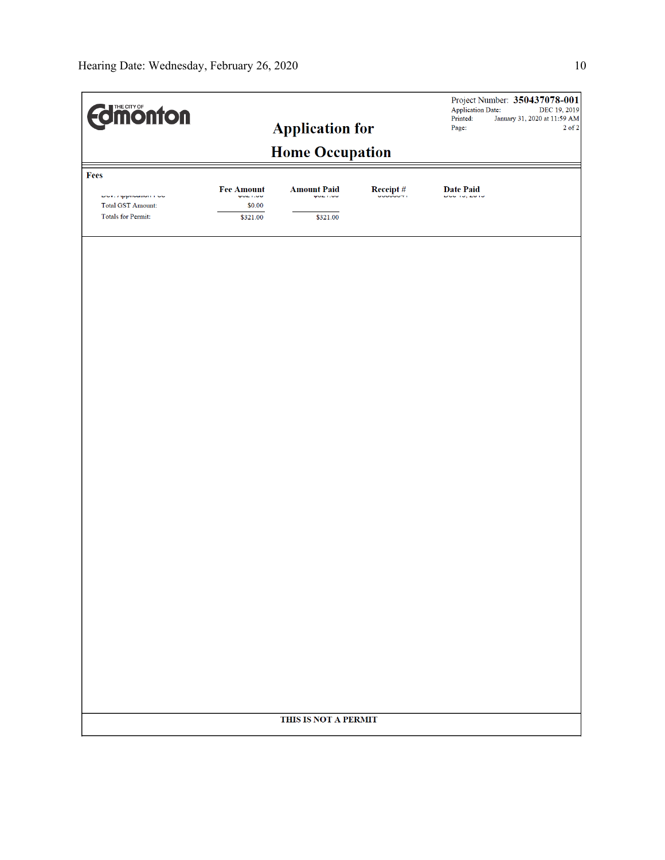| <b>Edimonton</b>                                      |                                           |                                  | Project Number: 350437078-001<br><b>Application Date:</b><br>DEC 19, 2019<br>Printed:<br>January 31, 2020 at 11:59 AM |                                    |  |  |
|-------------------------------------------------------|-------------------------------------------|----------------------------------|-----------------------------------------------------------------------------------------------------------------------|------------------------------------|--|--|
| <b>Application for</b>                                |                                           |                                  | $2$ of $2$<br>Page:                                                                                                   |                                    |  |  |
| <b>Home Occupation</b>                                |                                           |                                  |                                                                                                                       |                                    |  |  |
| Fees                                                  |                                           |                                  |                                                                                                                       |                                    |  |  |
| Dov. / sppinoation in our<br><b>Total GST Amount:</b> | <b>Fee Amount</b><br>world coup<br>\$0.00 | <b>Amount Paid</b><br>world coup | Receipt#                                                                                                              | Date Paid<br>تأويات وتأوار بالاتاب |  |  |
| Totals for Permit:                                    | \$321.00                                  | \$321.00                         |                                                                                                                       |                                    |  |  |
|                                                       |                                           |                                  |                                                                                                                       |                                    |  |  |
|                                                       |                                           |                                  |                                                                                                                       |                                    |  |  |
|                                                       |                                           |                                  |                                                                                                                       |                                    |  |  |
|                                                       |                                           |                                  |                                                                                                                       |                                    |  |  |
|                                                       |                                           |                                  |                                                                                                                       |                                    |  |  |
|                                                       |                                           |                                  |                                                                                                                       |                                    |  |  |
|                                                       |                                           |                                  |                                                                                                                       |                                    |  |  |
|                                                       |                                           |                                  |                                                                                                                       |                                    |  |  |
|                                                       |                                           |                                  |                                                                                                                       |                                    |  |  |
|                                                       |                                           |                                  |                                                                                                                       |                                    |  |  |
|                                                       |                                           |                                  |                                                                                                                       |                                    |  |  |
|                                                       |                                           |                                  |                                                                                                                       |                                    |  |  |
|                                                       |                                           |                                  |                                                                                                                       |                                    |  |  |
|                                                       |                                           |                                  |                                                                                                                       |                                    |  |  |
|                                                       |                                           |                                  |                                                                                                                       |                                    |  |  |
|                                                       |                                           |                                  |                                                                                                                       |                                    |  |  |
|                                                       |                                           |                                  |                                                                                                                       |                                    |  |  |
|                                                       |                                           |                                  |                                                                                                                       |                                    |  |  |
|                                                       |                                           |                                  |                                                                                                                       |                                    |  |  |
|                                                       |                                           |                                  |                                                                                                                       |                                    |  |  |
|                                                       | THIS IS NOT A PERMIT                      |                                  |                                                                                                                       |                                    |  |  |
|                                                       |                                           |                                  |                                                                                                                       |                                    |  |  |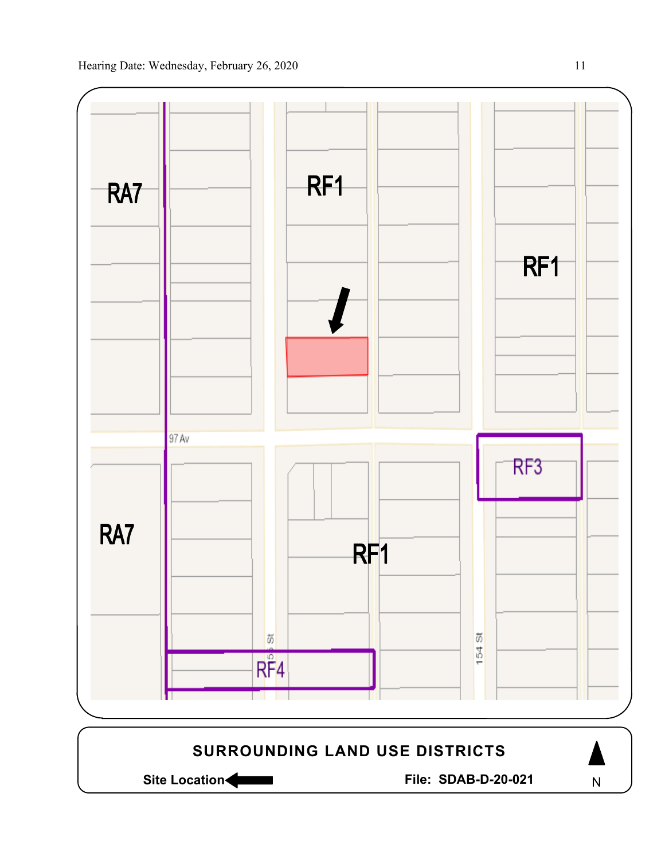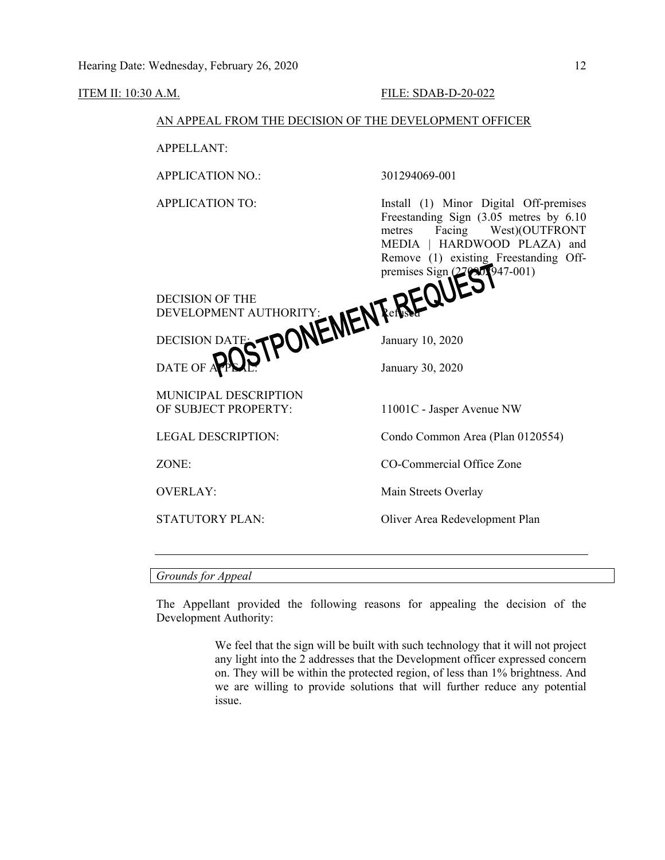### ITEM II: 10:30 A.M. FILE: SDAB-D-20-022

### AN APPEAL FROM THE DECISION OF THE DEVELOPMENT OFFICER

APPELLANT:

APPLICATION NO.: 301294069-001

APPLICATION TO: Install (1) Minor Digital Off-premises Freestanding Sign (3.05 metres by 6.10 metres Facing West)(OUTFRONT MEDIA | HARDWOOD PLAZA) and Remove (1) existing Freestanding Offpremises Sign (270902947-001)

DECISION OF THE DEVELOPMENT AUTHORITY: Refused

DECISION DATE: $\bigcap_{\text{max}} \bigcup_{\text{max}} \bigcup_{\text{max}} \bigcup_{\text{max}}$ DATE OF APPEAL: January 30, 2020

MUNICIPAL DESCRIPTION OF SUBJECT PROPERTY: 11001C - Jasper Avenue NW

LEGAL DESCRIPTION: Condo Common Area (Plan 0120554)

ZONE: CO-Commercial Office Zone

OVERLAY: Main Streets Overlay

STATUTORY PLAN: Oliver Area Redevelopment Plan

*Grounds for Appeal*

The Appellant provided the following reasons for appealing the decision of the Development Authority:

> We feel that the sign will be built with such technology that it will not project any light into the 2 addresses that the Development officer expressed concern on. They will be within the protected region, of less than 1% brightness. And we are willing to provide solutions that will further reduce any potential issue.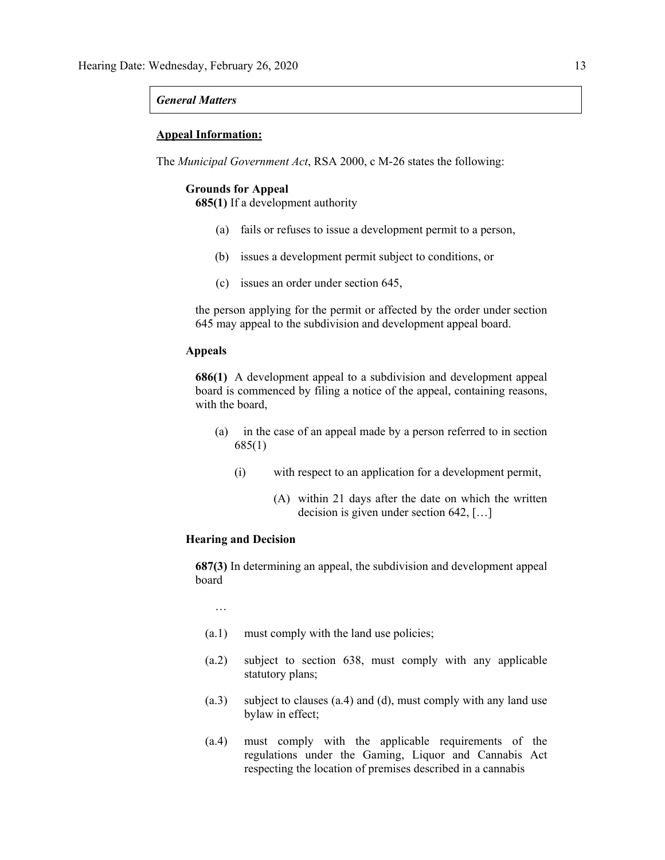#### *General Matters*

### **Appeal Information:**

The *Municipal Government Act*, RSA 2000, c M-26 states the following:

### **Grounds for Appeal**

**685(1)** If a development authority

- (a) fails or refuses to issue a development permit to a person,
- (b) issues a development permit subject to conditions, or
- (c) issues an order under section 645,

the person applying for the permit or affected by the order under section 645 may appeal to the subdivision and development appeal board.

### **Appeals**

**686(1)** A development appeal to a subdivision and development appeal board is commenced by filing a notice of the appeal, containing reasons, with the board,

- (a) in the case of an appeal made by a person referred to in section 685(1)
	- (i) with respect to an application for a development permit,
		- (A) within 21 days after the date on which the written decision is given under section 642, […]

### **Hearing and Decision**

**687(3)** In determining an appeal, the subdivision and development appeal board

…

- (a.1) must comply with the land use policies;
- (a.2) subject to section 638, must comply with any applicable statutory plans;
- (a.3) subject to clauses (a.4) and (d), must comply with any land use bylaw in effect;
- (a.4) must comply with the applicable requirements of the regulations under the Gaming, Liquor and Cannabis Act respecting the location of premises described in a cannabis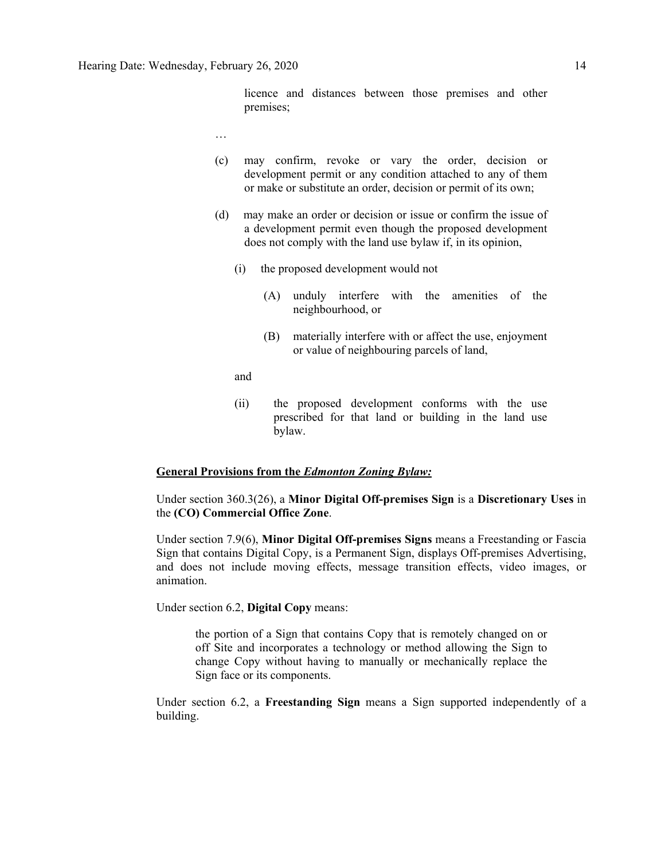licence and distances between those premises and other premises;

…

- (c) may confirm, revoke or vary the order, decision or development permit or any condition attached to any of them or make or substitute an order, decision or permit of its own;
- (d) may make an order or decision or issue or confirm the issue of a development permit even though the proposed development does not comply with the land use bylaw if, in its opinion,
	- (i) the proposed development would not
		- (A) unduly interfere with the amenities of the neighbourhood, or
		- (B) materially interfere with or affect the use, enjoyment or value of neighbouring parcels of land,

and

(ii) the proposed development conforms with the use prescribed for that land or building in the land use bylaw.

### **General Provisions from the** *Edmonton Zoning Bylaw:*

Under section 360.3(26), a **Minor Digital Off-premises Sign** is a **Discretionary Uses** in the **(CO) Commercial Office Zone**.

Under section 7.9(6), **Minor Digital Off-premises Signs** means a Freestanding or Fascia Sign that contains Digital Copy, is a Permanent Sign, displays Off-premises Advertising, and does not include moving effects, message transition effects, video images, or animation.

Under section 6.2, **Digital Copy** means:

the portion of a Sign that contains Copy that is remotely changed on or off Site and incorporates a technology or method allowing the Sign to change Copy without having to manually or mechanically replace the Sign face or its components.

Under section 6.2, a **Freestanding Sign** means a Sign supported independently of a building.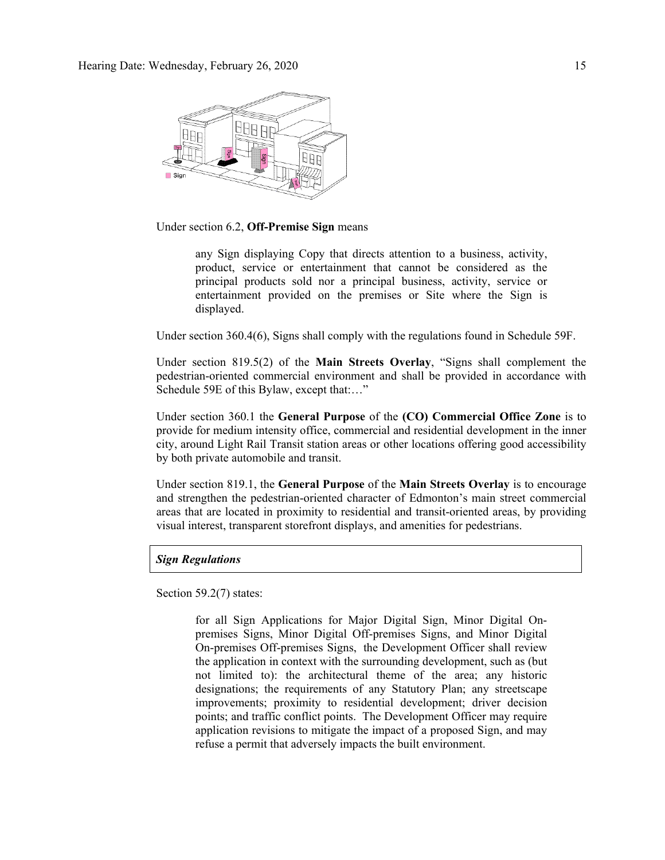

Under section 6.2, **Off-Premise Sign** means

any Sign displaying Copy that directs attention to a business, activity, product, service or entertainment that cannot be considered as the principal products sold nor a principal business, activity, service or entertainment provided on the premises or Site where the Sign is displayed.

Under section 360.4(6), Signs shall comply with the regulations found in Schedule 59F.

Under section 819.5(2) of the **Main Streets Overlay**, "Signs shall complement the pedestrian-oriented commercial environment and shall be provided in accordance with Schedule 59E of this Bylaw, except that:..."

Under section 360.1 the **General Purpose** of the **(CO) Commercial Office Zone** is to provide for medium intensity office, commercial and residential development in the inner city, around Light Rail Transit station areas or other locations offering good accessibility by both private automobile and transit.

Under section 819.1, the **General Purpose** of the **Main Streets Overlay** is to encourage and strengthen the pedestrian-oriented character of Edmonton's main street commercial areas that are located in proximity to residential and transit-oriented areas, by providing visual interest, transparent storefront displays, and amenities for pedestrians.

### *Sign Regulations*

Section 59.2(7) states:

for all Sign Applications for Major Digital Sign, Minor Digital Onpremises Signs, Minor Digital Off-premises Signs, and Minor Digital On-premises Off-premises Signs, the Development Officer shall review the application in context with the surrounding development, such as (but not limited to): the architectural theme of the area; any historic designations; the requirements of any Statutory Plan; any streetscape improvements; proximity to residential development; driver decision points; and traffic conflict points. The Development Officer may require application revisions to mitigate the impact of a proposed Sign, and may refuse a permit that adversely impacts the built environment.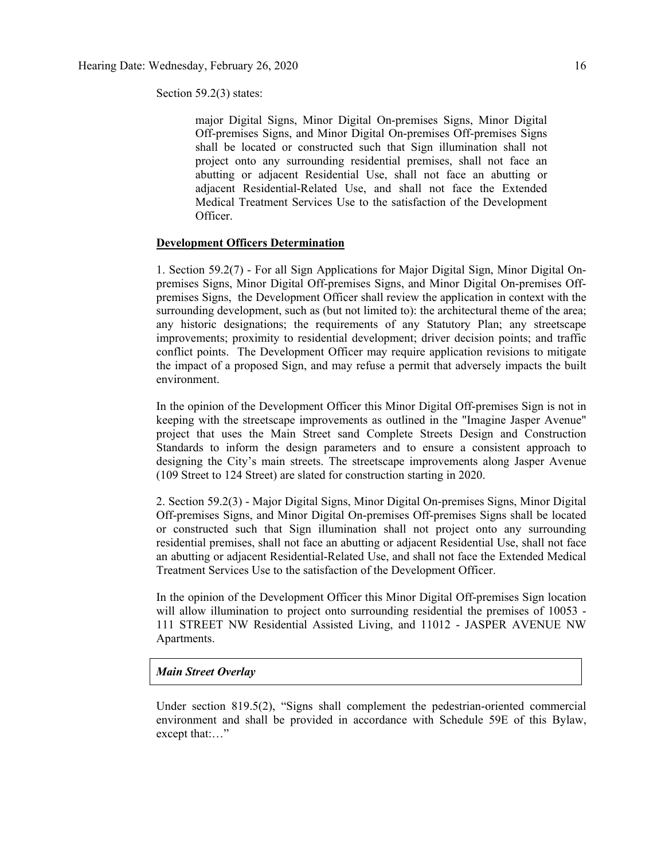Section 59.2(3) states:

major Digital Signs, Minor Digital On-premises Signs, Minor Digital Off-premises Signs, and Minor Digital On-premises Off-premises Signs shall be located or constructed such that Sign illumination shall not project onto any surrounding residential premises, shall not face an abutting or adjacent Residential Use, shall not face an abutting or adjacent Residential-Related Use, and shall not face the Extended Medical Treatment Services Use to the satisfaction of the Development Officer.

### **Development Officers Determination**

1. Section 59.2(7) - For all Sign Applications for Major Digital Sign, Minor Digital Onpremises Signs, Minor Digital Off-premises Signs, and Minor Digital On-premises Offpremises Signs, the Development Officer shall review the application in context with the surrounding development, such as (but not limited to): the architectural theme of the area; any historic designations; the requirements of any Statutory Plan; any streetscape improvements; proximity to residential development; driver decision points; and traffic conflict points. The Development Officer may require application revisions to mitigate the impact of a proposed Sign, and may refuse a permit that adversely impacts the built environment.

In the opinion of the Development Officer this Minor Digital Off-premises Sign is not in keeping with the streetscape improvements as outlined in the "Imagine Jasper Avenue" project that uses the Main Street sand Complete Streets Design and Construction Standards to inform the design parameters and to ensure a consistent approach to designing the City's main streets. The streetscape improvements along Jasper Avenue (109 Street to 124 Street) are slated for construction starting in 2020.

2. Section 59.2(3) - Major Digital Signs, Minor Digital On-premises Signs, Minor Digital Off-premises Signs, and Minor Digital On-premises Off-premises Signs shall be located or constructed such that Sign illumination shall not project onto any surrounding residential premises, shall not face an abutting or adjacent Residential Use, shall not face an abutting or adjacent Residential-Related Use, and shall not face the Extended Medical Treatment Services Use to the satisfaction of the Development Officer.

In the opinion of the Development Officer this Minor Digital Off-premises Sign location will allow illumination to project onto surrounding residential the premises of 10053 -111 STREET NW Residential Assisted Living, and 11012 - JASPER AVENUE NW Apartments.

### *Main Street Overlay*

Under section 819.5(2), "Signs shall complement the pedestrian-oriented commercial environment and shall be provided in accordance with Schedule 59E of this Bylaw, except that:..."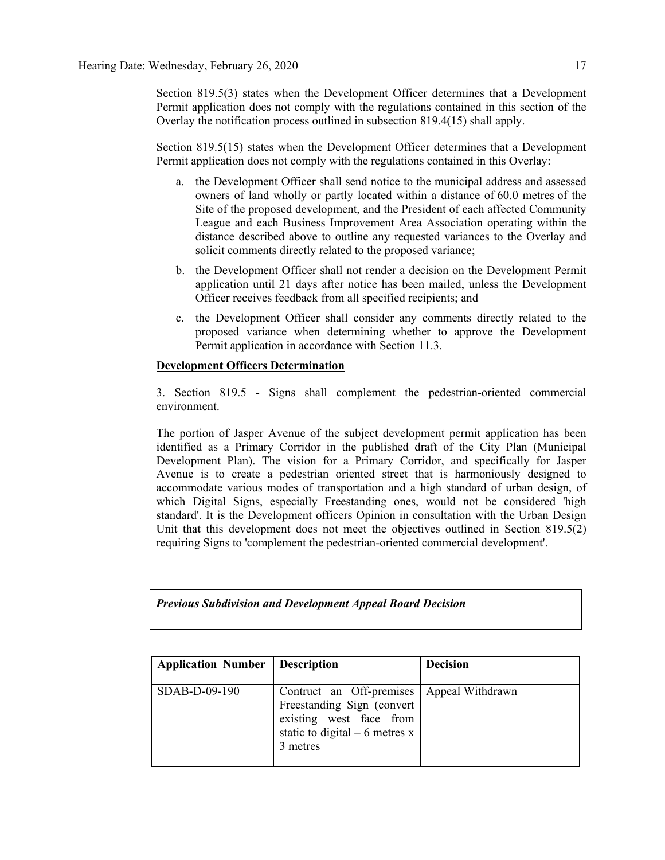Section 819.5(3) states when the Development Officer determines that a Development Permit application does not comply with the regulations contained in this section of the Overlay the notification process outlined in subsection 819.4(15) shall apply.

Section 819.5(15) states when the Development Officer determines that a Development Permit application does not comply with the regulations contained in this Overlay:

- a. the Development Officer shall send notice to the municipal address and assessed owners of land wholly or partly located within a distance of [60.0 me](javascript:void(0);)tres of the Site of the proposed development, and the President of each affected Community League and each Business Improvement Area Association operating within the distance described above to outline any requested variances to the Overlay and solicit comments directly related to the proposed variance;
- b. the Development Officer shall not render a decision on the Development Permit application until 21 days after notice has been mailed, unless the Development Officer receives feedback from all specified recipients; and
- c. the Development Officer shall consider any comments directly related to the proposed variance when determining whether to approve the Development Permit application in accordance with Section 11.3.

### **Development Officers Determination**

3. Section 819.5 - Signs shall complement the pedestrian-oriented commercial environment.

The portion of Jasper Avenue of the subject development permit application has been identified as a Primary Corridor in the published draft of the City Plan (Municipal Development Plan). The vision for a Primary Corridor, and specifically for Jasper Avenue is to create a pedestrian oriented street that is harmoniously designed to accommodate various modes of transportation and a high standard of urban design, of which Digital Signs, especially Freestanding ones, would not be considered 'high standard'. It is the Development officers Opinion in consultation with the Urban Design Unit that this development does not meet the objectives outlined in Section 819.5(2) requiring Signs to 'complement the pedestrian-oriented commercial development'.

### *Previous Subdivision and Development Appeal Board Decision*

| <b>Application Number</b> | <b>Description</b>                                                                                                                                  | <b>Decision</b> |
|---------------------------|-----------------------------------------------------------------------------------------------------------------------------------------------------|-----------------|
| SDAB-D-09-190             | Contruct an Off-premises   Appeal Withdrawn<br>Freestanding Sign (convert<br>existing west face from<br>static to digital $-6$ metres x<br>3 metres |                 |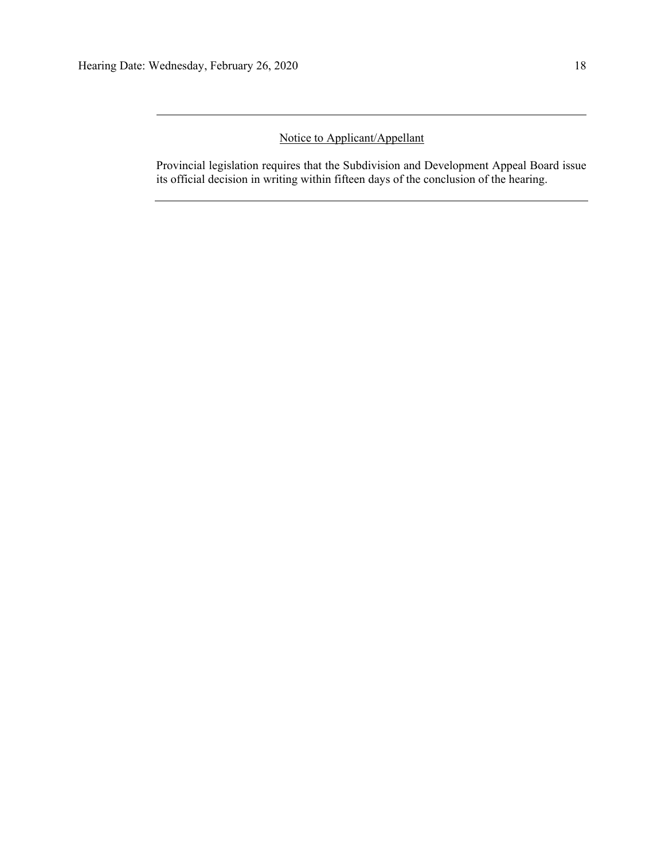### Notice to Applicant/Appellant

Provincial legislation requires that the Subdivision and Development Appeal Board issue its official decision in writing within fifteen days of the conclusion of the hearing.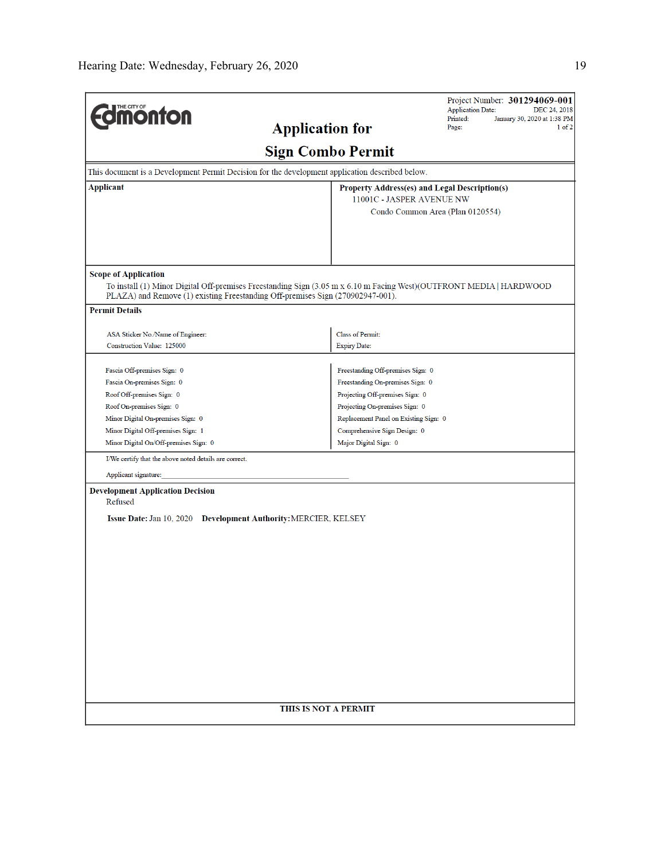| <b>dimonton</b>                                                                                                                                                                                                                                               | <b>Application for</b>                  | Project Number: 301294069-001<br><b>Application Date:</b><br>DEC 24, 2018<br>January 30, 2020 at 1:38 PM<br>Printed:<br>Page:<br>1 of 2 |  |  |
|---------------------------------------------------------------------------------------------------------------------------------------------------------------------------------------------------------------------------------------------------------------|-----------------------------------------|-----------------------------------------------------------------------------------------------------------------------------------------|--|--|
|                                                                                                                                                                                                                                                               | <b>Sign Combo Permit</b>                |                                                                                                                                         |  |  |
|                                                                                                                                                                                                                                                               |                                         |                                                                                                                                         |  |  |
| This document is a Development Permit Decision for the development application described below.<br><b>Applicant</b>                                                                                                                                           |                                         |                                                                                                                                         |  |  |
|                                                                                                                                                                                                                                                               | 11001C - JASPER AVENUE NW               | <b>Property Address(es) and Legal Description(s)</b><br>Condo Common Area (Plan 0120554)                                                |  |  |
| <b>Scope of Application</b><br>To install (1) Minor Digital Off-premises Freestanding Sign (3.05 m x 6.10 m Facing West)(OUTFRONT MEDIA   HARDWOOD<br>PLAZA) and Remove (1) existing Freestanding Off-premises Sign (270902947-001).<br><b>Permit Details</b> |                                         |                                                                                                                                         |  |  |
|                                                                                                                                                                                                                                                               |                                         |                                                                                                                                         |  |  |
| ASA Sticker No./Name of Engineer:<br>Construction Value: 125000                                                                                                                                                                                               | Class of Permit:<br><b>Expiry Date:</b> |                                                                                                                                         |  |  |
|                                                                                                                                                                                                                                                               |                                         |                                                                                                                                         |  |  |
| Fascia Off-premises Sign: 0                                                                                                                                                                                                                                   | Freestanding Off-premises Sign: 0       |                                                                                                                                         |  |  |
| Fascia On-premises Sign: 0                                                                                                                                                                                                                                    |                                         | Freestanding On-premises Sign: 0                                                                                                        |  |  |
| Roof Off-premises Sign: 0                                                                                                                                                                                                                                     | Projecting Off-premises Sign: 0         |                                                                                                                                         |  |  |
| Roof On-premises Sign: 0                                                                                                                                                                                                                                      |                                         | Projecting On-premises Sign: 0                                                                                                          |  |  |
| Minor Digital On-premises Sign: 0                                                                                                                                                                                                                             |                                         | Replacement Panel on Existing Sign: 0                                                                                                   |  |  |
| Minor Digital Off-premises Sign: 1                                                                                                                                                                                                                            | Comprehensive Sign Design: 0            |                                                                                                                                         |  |  |
| Minor Digital On/Off-premises Sign: 0                                                                                                                                                                                                                         | Major Digital Sign: 0                   |                                                                                                                                         |  |  |
| I/We certify that the above noted details are correct.                                                                                                                                                                                                        |                                         |                                                                                                                                         |  |  |
| Applicant signature:                                                                                                                                                                                                                                          |                                         |                                                                                                                                         |  |  |
| <b>Development Application Decision</b><br>Refused<br>Issue Date: Jan 10, 2020 Development Authority: MERCIER, KELSEY                                                                                                                                         |                                         |                                                                                                                                         |  |  |
|                                                                                                                                                                                                                                                               | THIS IS NOT A PERMIT                    |                                                                                                                                         |  |  |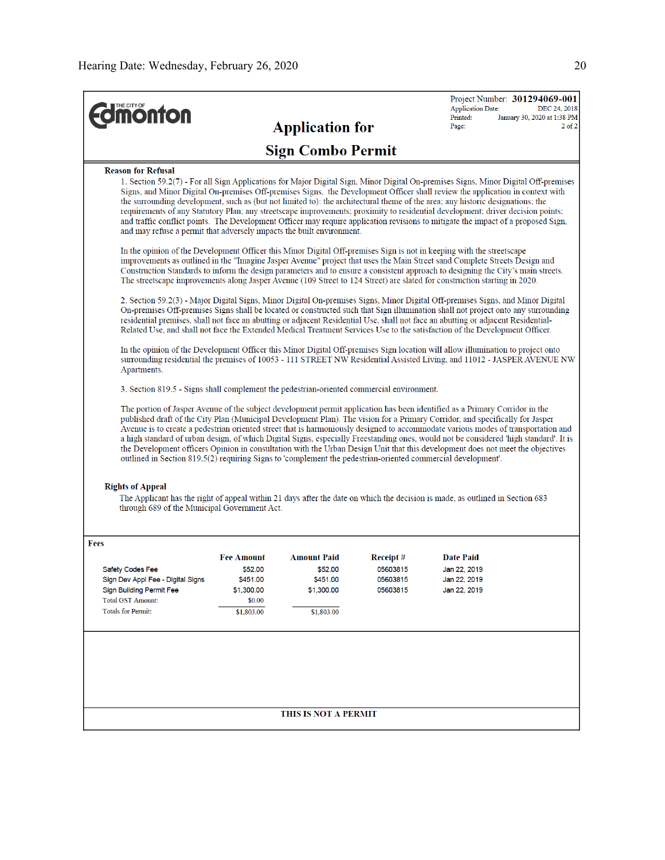| <b>dimonton</b>                                                                                                                                                                                                                                                                                                                                                                                                                                                                                                                                                                                                                                                                                                                                                                              |                                                                                                                                                                                                                                                                                                                                                                                                                                                                                                                                         | <b>Application for</b>                                  |                                               | <b>Application Date:</b><br>Printed:<br>Page:                    | Project Number: 301294069-001<br>DEC 24, 2018<br>January 30, 2020 at 1:38 PM<br>$2$ of $2$ |  |  |
|----------------------------------------------------------------------------------------------------------------------------------------------------------------------------------------------------------------------------------------------------------------------------------------------------------------------------------------------------------------------------------------------------------------------------------------------------------------------------------------------------------------------------------------------------------------------------------------------------------------------------------------------------------------------------------------------------------------------------------------------------------------------------------------------|-----------------------------------------------------------------------------------------------------------------------------------------------------------------------------------------------------------------------------------------------------------------------------------------------------------------------------------------------------------------------------------------------------------------------------------------------------------------------------------------------------------------------------------------|---------------------------------------------------------|-----------------------------------------------|------------------------------------------------------------------|--------------------------------------------------------------------------------------------|--|--|
| <b>Sign Combo Permit</b>                                                                                                                                                                                                                                                                                                                                                                                                                                                                                                                                                                                                                                                                                                                                                                     |                                                                                                                                                                                                                                                                                                                                                                                                                                                                                                                                         |                                                         |                                               |                                                                  |                                                                                            |  |  |
| <b>Reason for Refusal</b><br>1. Section 59.2(7) - For all Sign Applications for Major Digital Sign, Minor Digital On-premises Signs, Minor Digital Off-premises<br>Signs, and Minor Digital On-premises Off-premises Signs, the Development Officer shall review the application in context with<br>the surrounding development, such as (but not limited to): the architectural theme of the area; any historic designations; the<br>requirements of any Statutory Plan; any streetscape improvements; proximity to residential development; driver decision points;<br>and traffic conflict points. The Development Officer may require application revisions to mitigate the impact of a proposed Sign,<br>and may refuse a permit that adversely impacts the built environment.          |                                                                                                                                                                                                                                                                                                                                                                                                                                                                                                                                         |                                                         |                                               |                                                                  |                                                                                            |  |  |
| In the opinion of the Development Officer this Minor Digital Off-premises Sign is not in keeping with the streetscape<br>improvements as outlined in the "Imagine Jasper Avenue" project that uses the Main Street sand Complete Streets Design and<br>Construction Standards to inform the design parameters and to ensure a consistent approach to designing the City's main streets.<br>The streetscape improvements along Jasper Avenue (109 Street to 124 Street) are slated for construction starting in 2020.                                                                                                                                                                                                                                                                         |                                                                                                                                                                                                                                                                                                                                                                                                                                                                                                                                         |                                                         |                                               |                                                                  |                                                                                            |  |  |
|                                                                                                                                                                                                                                                                                                                                                                                                                                                                                                                                                                                                                                                                                                                                                                                              | 2. Section 59.2(3) - Major Digital Signs, Minor Digital On-premises Signs, Minor Digital Off-premises Signs, and Minor Digital<br>On-premises Off-premises Signs shall be located or constructed such that Sign illumination shall not project onto any surrounding<br>residential premises, shall not face an abutting or adjacent Residential Use, shall not face an abutting or adjacent Residential-<br>Related Use, and shall not face the Extended Medical Treatment Services Use to the satisfaction of the Development Officer. |                                                         |                                               |                                                                  |                                                                                            |  |  |
| In the opinion of the Development Officer this Minor Digital Off-premises Sign location will allow illumination to project onto<br>surrounding residential the premises of 10053 - 111 STREET NW Residential Assisted Living, and 11012 - JASPER AVENUE NW<br>Apartments.                                                                                                                                                                                                                                                                                                                                                                                                                                                                                                                    |                                                                                                                                                                                                                                                                                                                                                                                                                                                                                                                                         |                                                         |                                               |                                                                  |                                                                                            |  |  |
| 3. Section 819.5 - Signs shall complement the pedestrian-oriented commercial environment.                                                                                                                                                                                                                                                                                                                                                                                                                                                                                                                                                                                                                                                                                                    |                                                                                                                                                                                                                                                                                                                                                                                                                                                                                                                                         |                                                         |                                               |                                                                  |                                                                                            |  |  |
| The portion of Jasper Avenue of the subject development permit application has been identified as a Primary Corridor in the<br>published draft of the City Plan (Municipal Development Plan). The vision for a Primary Corridor, and specifically for Jasper<br>Avenue is to create a pedestrian oriented street that is harmoniously designed to accommodate various modes of transportation and<br>a high standard of urban design, of which Digital Signs, especially Freestanding ones, would not be considered 'high standard'. It is<br>the Development officers Opinion in consultation with the Urban Design Unit that this development does not meet the objectives<br>outlined in Section 819.5(2) requiring Signs to 'complement the pedestrian-oriented commercial development'. |                                                                                                                                                                                                                                                                                                                                                                                                                                                                                                                                         |                                                         |                                               |                                                                  |                                                                                            |  |  |
| <b>Rights of Appeal</b><br>The Applicant has the right of appeal within 21 days after the date on which the decision is made, as outlined in Section 683<br>through 689 of the Municipal Government Act.                                                                                                                                                                                                                                                                                                                                                                                                                                                                                                                                                                                     |                                                                                                                                                                                                                                                                                                                                                                                                                                                                                                                                         |                                                         |                                               |                                                                  |                                                                                            |  |  |
| Fees                                                                                                                                                                                                                                                                                                                                                                                                                                                                                                                                                                                                                                                                                                                                                                                         |                                                                                                                                                                                                                                                                                                                                                                                                                                                                                                                                         |                                                         |                                               |                                                                  |                                                                                            |  |  |
| <b>Safety Codes Fee</b><br>Sign Dev Appl Fee - Digital Signs<br>Sign Building Permit Fee                                                                                                                                                                                                                                                                                                                                                                                                                                                                                                                                                                                                                                                                                                     | <b>Fee Amount</b><br>\$52.00<br>\$451.00<br>\$1,300.00                                                                                                                                                                                                                                                                                                                                                                                                                                                                                  | <b>Amount Paid</b><br>\$52.00<br>\$451.00<br>\$1,300.00 | Receipt #<br>05603815<br>05603815<br>05603815 | <b>Date Paid</b><br>Jan 22, 2019<br>Jan 22, 2019<br>Jan 22, 2019 |                                                                                            |  |  |
| <b>Totals for Permit:</b>                                                                                                                                                                                                                                                                                                                                                                                                                                                                                                                                                                                                                                                                                                                                                                    | \$1,803.00                                                                                                                                                                                                                                                                                                                                                                                                                                                                                                                              | \$1,803.00                                              |                                               |                                                                  |                                                                                            |  |  |
| <b>Total GST Amount:</b>                                                                                                                                                                                                                                                                                                                                                                                                                                                                                                                                                                                                                                                                                                                                                                     | \$0.00                                                                                                                                                                                                                                                                                                                                                                                                                                                                                                                                  |                                                         |                                               |                                                                  |                                                                                            |  |  |
|                                                                                                                                                                                                                                                                                                                                                                                                                                                                                                                                                                                                                                                                                                                                                                                              |                                                                                                                                                                                                                                                                                                                                                                                                                                                                                                                                         | THIS IS NOT A PERMIT                                    |                                               |                                                                  |                                                                                            |  |  |
|                                                                                                                                                                                                                                                                                                                                                                                                                                                                                                                                                                                                                                                                                                                                                                                              |                                                                                                                                                                                                                                                                                                                                                                                                                                                                                                                                         |                                                         |                                               |                                                                  |                                                                                            |  |  |